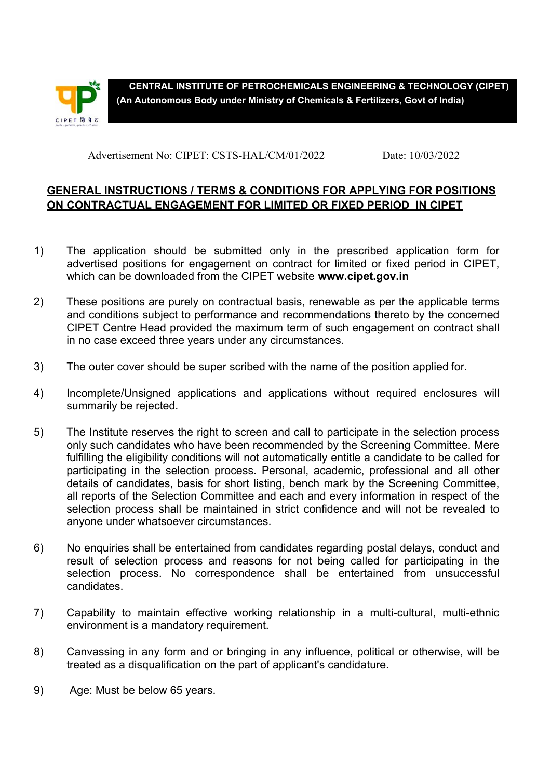

**CENTRAL INSTITUTE OF PETROCHEMICALS ENGINEERING & TECHNOLOGY (CIPET) (An Autonomous Body under Ministry of Chemicals & Fertilizers, Govt of India)** 

Advertisement No: CIPET: CSTS-HAL/CM/01/2022 Date: 10/03/2022

## **GENERAL INSTRUCTIONS / TERMS & CONDITIONS FOR APPLYING FOR POSITIONS ON CONTRACTUAL ENGAGEMENT FOR LIMITED OR FIXED PERIOD IN CIPET**

- 1) The application should be submitted only in the prescribed application form for advertised positions for engagement on contract for limited or fixed period in CIPET, which can be downloaded from the CIPET website **www.cipet.gov.in**
- 2) These positions are purely on contractual basis, renewable as per the applicable terms and conditions subject to performance and recommendations thereto by the concerned CIPET Centre Head provided the maximum term of such engagement on contract shall in no case exceed three years under any circumstances.
- 3) The outer cover should be super scribed with the name of the position applied for.
- 4) Incomplete/Unsigned applications and applications without required enclosures will summarily be rejected.
- 5) The Institute reserves the right to screen and call to participate in the selection process only such candidates who have been recommended by the Screening Committee. Mere fulfilling the eligibility conditions will not automatically entitle a candidate to be called for participating in the selection process. Personal, academic, professional and all other details of candidates, basis for short listing, bench mark by the Screening Committee, all reports of the Selection Committee and each and every information in respect of the selection process shall be maintained in strict confidence and will not be revealed to anyone under whatsoever circumstances.
- 6) No enquiries shall be entertained from candidates regarding postal delays, conduct and result of selection process and reasons for not being called for participating in the selection process. No correspondence shall be entertained from unsuccessful candidates.
- 7) Capability to maintain effective working relationship in a multi-cultural, multi-ethnic environment is a mandatory requirement.
- 8) Canvassing in any form and or bringing in any influence, political or otherwise, will be treated as a disqualification on the part of applicant's candidature.
- 9) Age: Must be below 65 years.